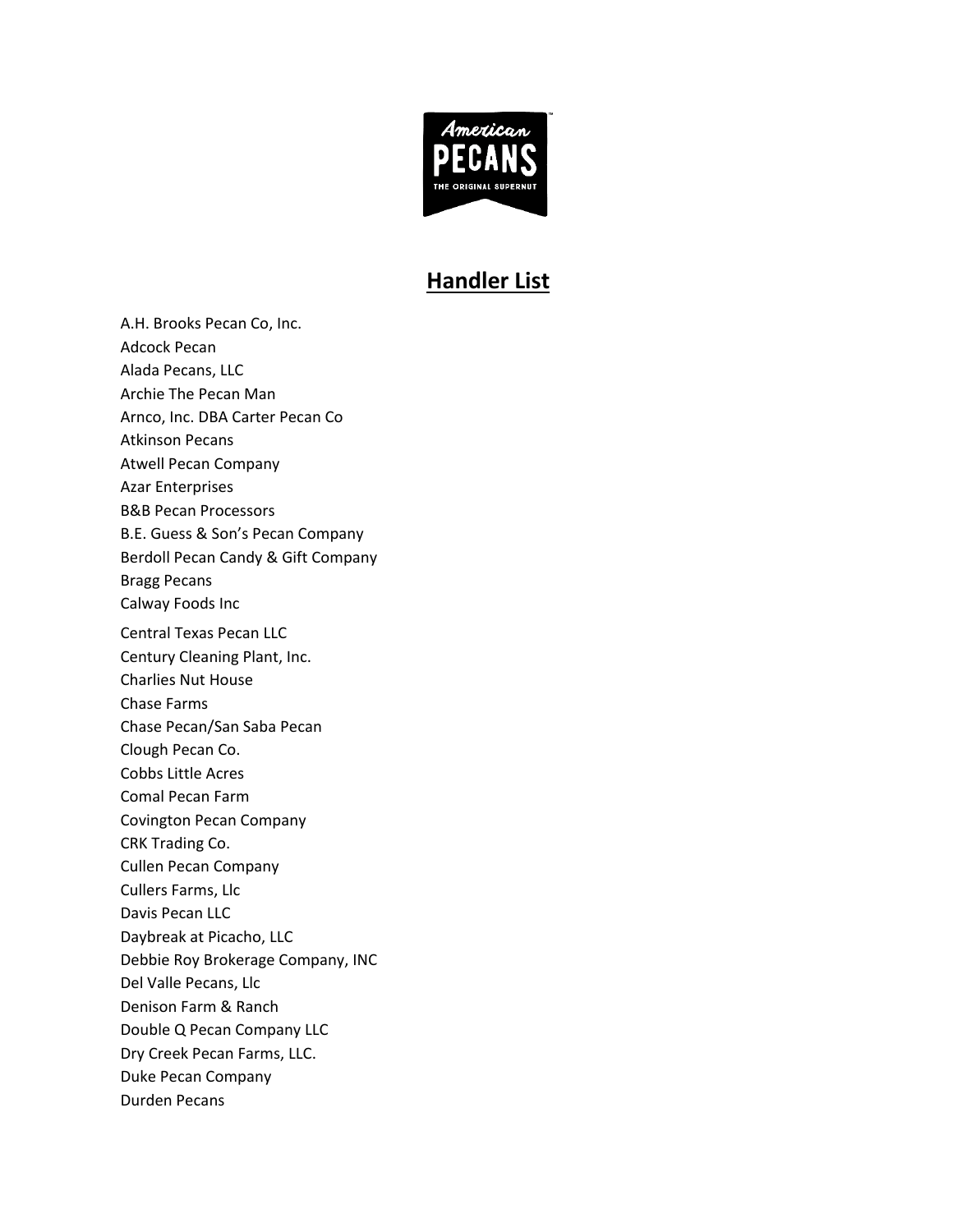

## **Handler List**

A.H. Brooks Pecan Co, Inc. Adcock Pecan Alada Pecans, LLC Archie The Pecan Man Arnco, Inc. DBA Carter Pecan Co Atkinson Pecans Atwell Pecan Company Azar Enterprises B&B Pecan Processors B.E. Guess & Son's Pecan Company Berdoll Pecan Candy & Gift Company Bragg Pecans Calway Foods Inc Central Texas Pecan LLC Century Cleaning Plant, Inc. Charlies Nut House Chase Farms Chase Pecan/San Saba Pecan Clough Pecan Co. Cobbs Little Acres Comal Pecan Farm Covington Pecan Company CRK Trading Co. Cullen Pecan Company Cullers Farms, Llc Davis Pecan LLC Daybreak at Picacho, LLC Debbie Roy Brokerage Company, INC Del Valle Pecans, Llc Denison Farm & Ranch Double Q Pecan Company LLC Dry Creek Pecan Farms, LLC. Duke Pecan Company Durden Pecans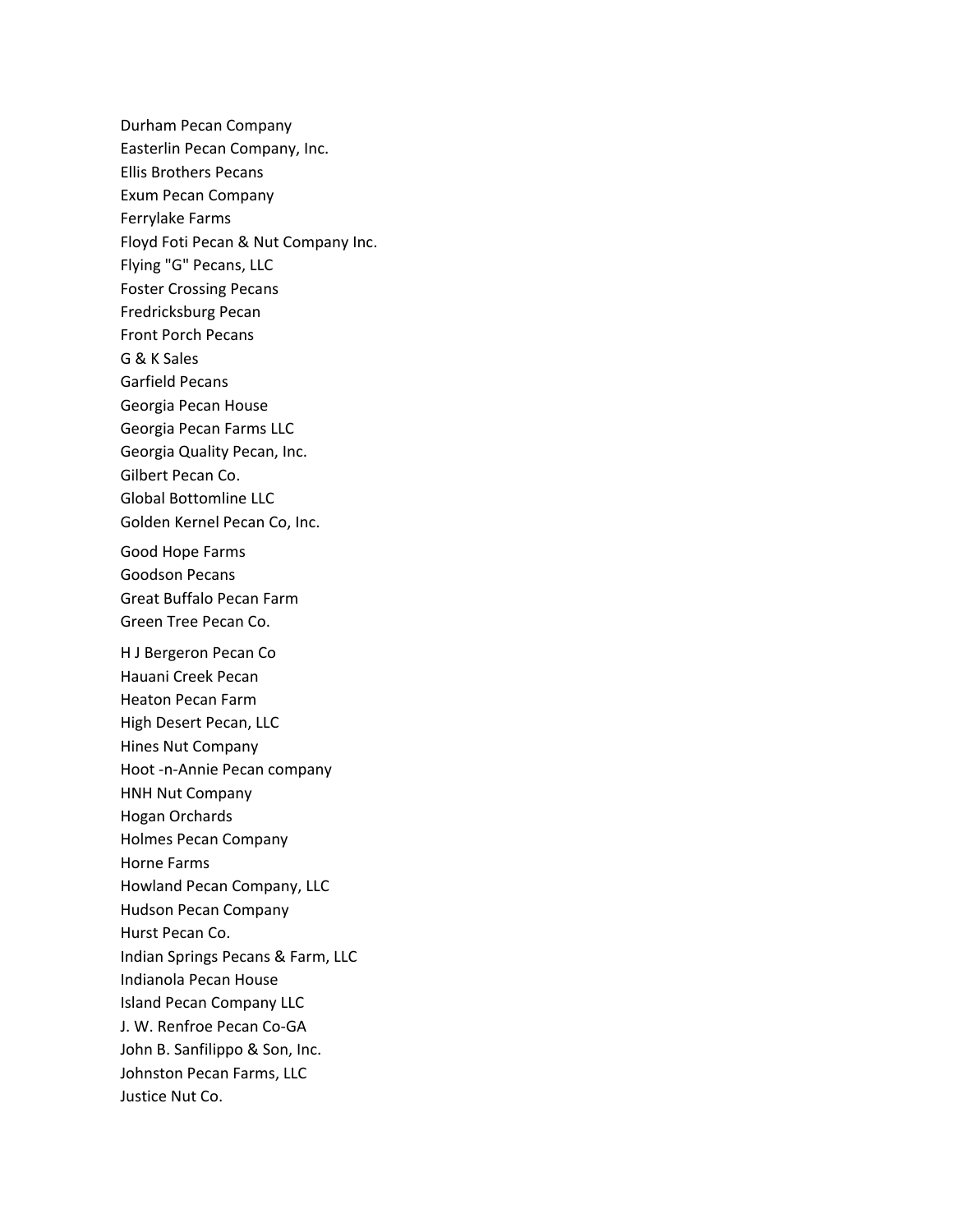Durham Pecan Company Easterlin Pecan Company, Inc. Ellis Brothers Pecans Exum Pecan Company Ferrylake Farms Floyd Foti Pecan & Nut Company Inc. Flying "G" Pecans, LLC Foster Crossing Pecans Fredricksburg Pecan Front Porch Pecans G & K Sales Garfield Pecans Georgia Pecan House Georgia Pecan Farms LLC Georgia Quality Pecan, Inc. Gilbert Pecan Co. Global Bottomline LLC Golden Kernel Pecan Co, Inc. Good Hope Farms Goodson Pecans Great Buffalo Pecan Farm Green Tree Pecan Co. H J Bergeron Pecan Co Hauani Creek Pecan Heaton Pecan Farm High Desert Pecan, LLC Hines Nut Company Hoot -n-Annie Pecan company HNH Nut Company Hogan Orchards Holmes Pecan Company Horne Farms Howland Pecan Company, LLC Hudson Pecan Company Hurst Pecan Co. Indian Springs Pecans & Farm, LLC Indianola Pecan House Island Pecan Company LLC J. W. Renfroe Pecan Co-GA John B. Sanfilippo & Son, Inc. Johnston Pecan Farms, LLC Justice Nut Co.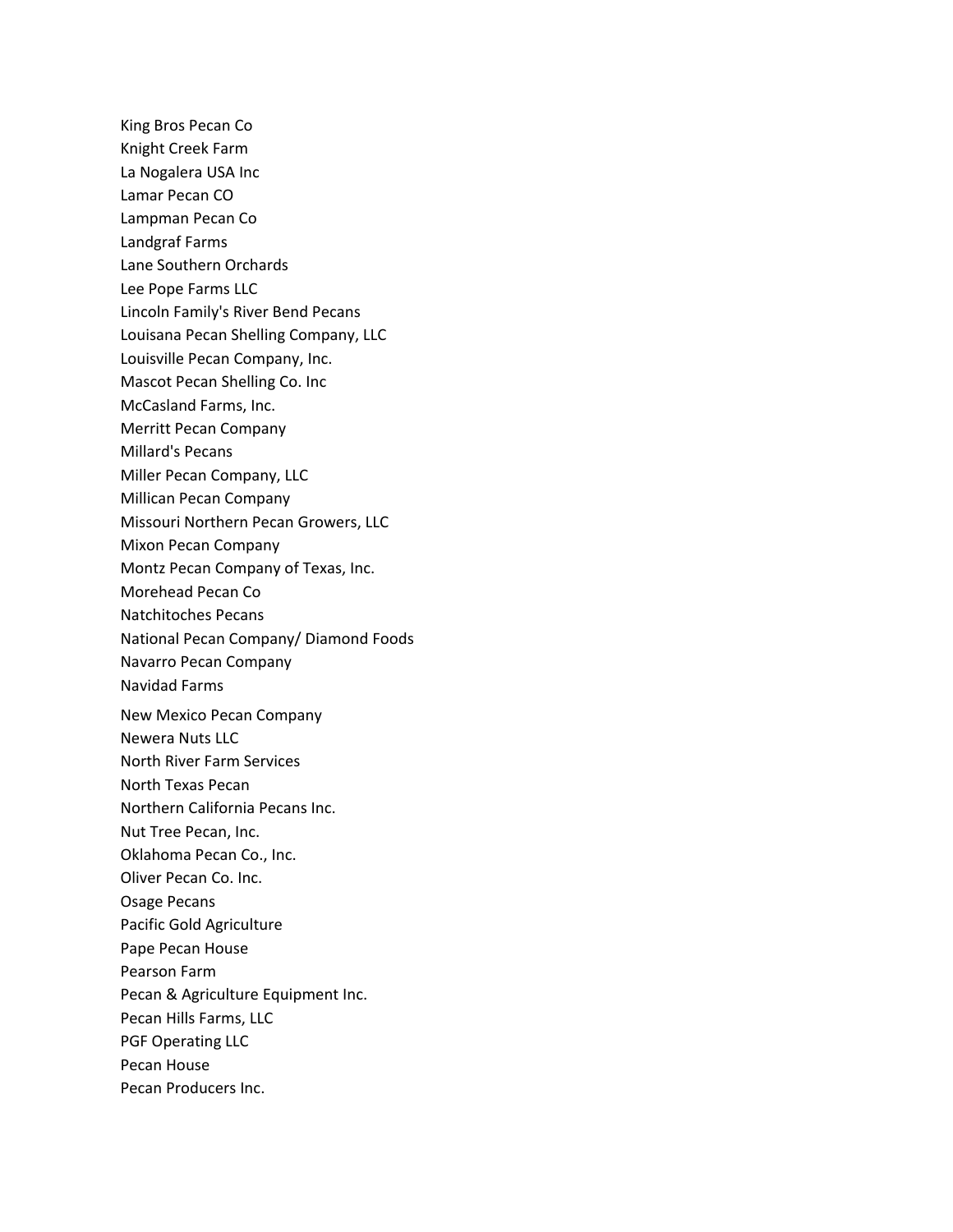- King Bros Pecan Co
- Knight Creek Farm
- La Nogalera USA Inc
- Lamar Pecan CO
- Lampman Pecan Co
- Landgraf Farms
- Lane Southern Orchards
- Lee Pope Farms LLC
- Lincoln Family's River Bend Pecans
- Louisana Pecan Shelling Company, LLC
- Louisville Pecan Company, Inc.
- Mascot Pecan Shelling Co. Inc
- McCasland Farms, Inc.
- Merritt Pecan Company
- Millard's Pecans
- Miller Pecan Company, LLC
- Millican Pecan Company
- Missouri Northern Pecan Growers, LLC
- Mixon Pecan Company
- Montz Pecan Company of Texas, Inc.
- Morehead Pecan Co
- Natchitoches Pecans
- National Pecan Company/ Diamond Foods
- Navarro Pecan Company
- Navidad Farms
- New Mexico Pecan Company
- Newera Nuts LLC
- North River Farm Services
- North Texas Pecan
- Northern California Pecans Inc.
- Nut Tree Pecan, Inc.
- Oklahoma Pecan Co., Inc.
- Oliver Pecan Co. Inc.
- Osage Pecans
- Pacific Gold Agriculture
- Pape Pecan House
- Pearson Farm
- Pecan & Agriculture Equipment Inc.
- Pecan Hills Farms, LLC
- PGF Operating LLC
- Pecan House
- Pecan Producers Inc.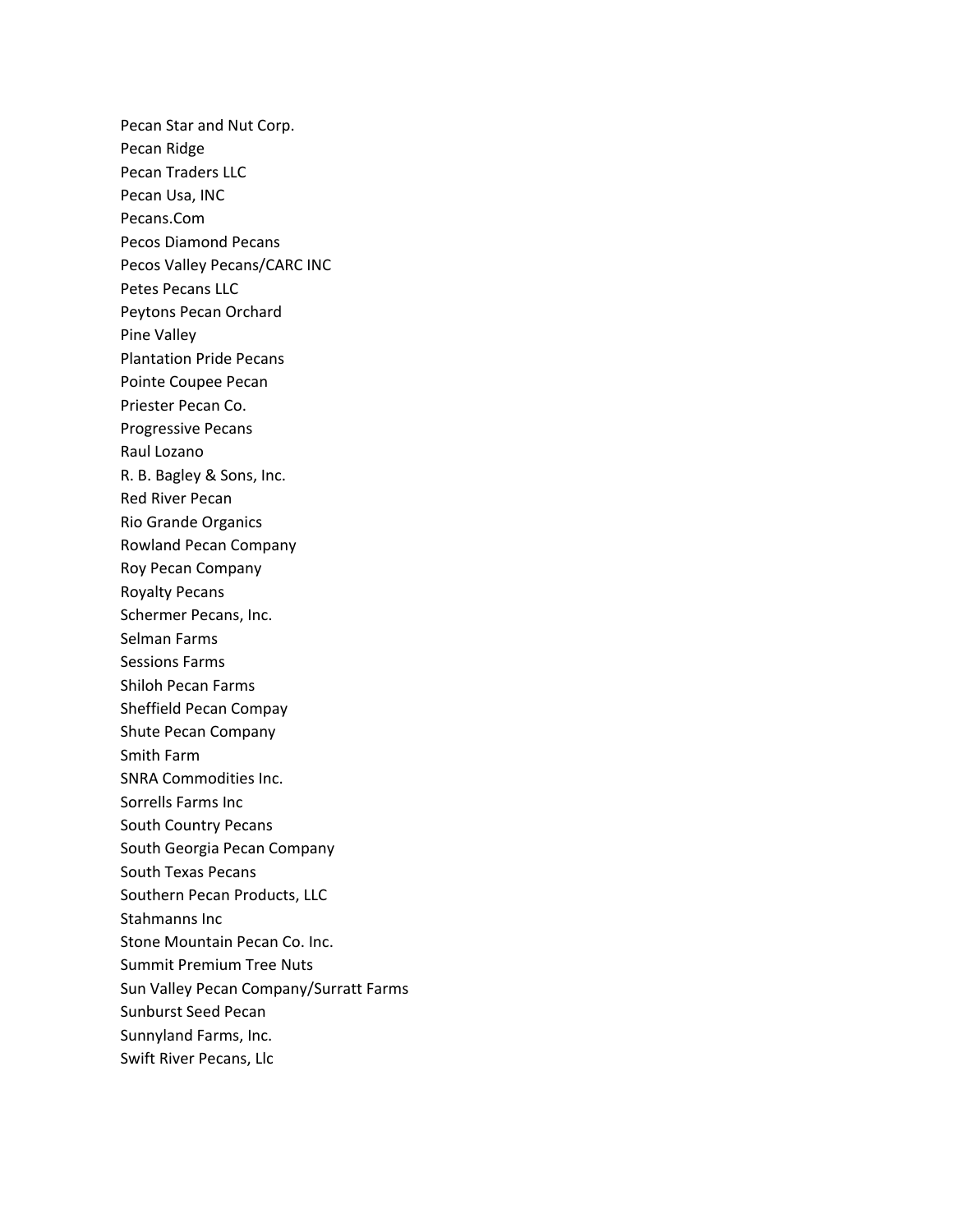Pecan Star and Nut Corp. Pecan Ridge Pecan Traders LLC Pecan Usa, INC Pecans.Com Pecos Diamond Pecans Pecos Valley Pecans/CARC INC Petes Pecans LLC Peytons Pecan Orchard Pine Valley Plantation Pride Pecans Pointe Coupee Pecan Priester Pecan Co. Progressive Pecans Raul Lozano R. B. Bagley & Sons, Inc. Red River Pecan Rio Grande Organics Rowland Pecan Company Roy Pecan Company Royalty Pecans Schermer Pecans, Inc. Selman Farms Sessions Farms Shiloh Pecan Farms Sheffield Pecan Compay Shute Pecan Company Smith Farm SNRA Commodities Inc. Sorrells Farms Inc South Country Pecans South Georgia Pecan Company South Texas Pecans Southern Pecan Products, LLC Stahmanns Inc Stone Mountain Pecan Co. Inc. Summit Premium Tree Nuts Sun Valley Pecan Company/Surratt Farms Sunburst Seed Pecan Sunnyland Farms, Inc. Swift River Pecans, Llc